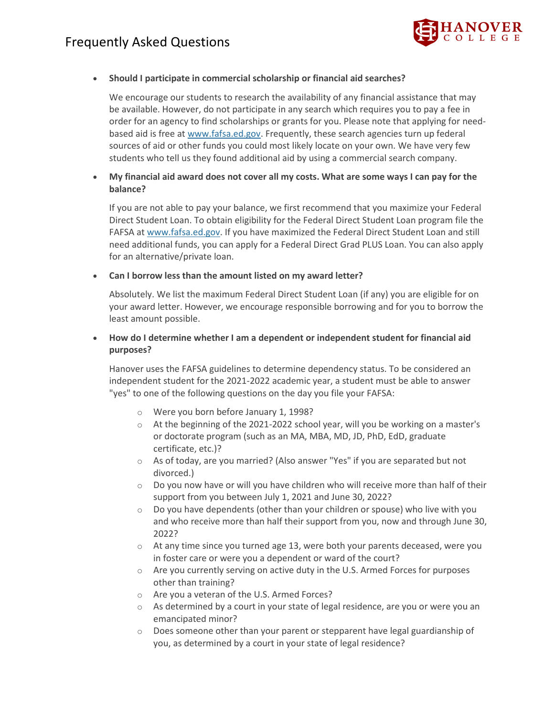

### • **Should I participate in commercial scholarship or financial aid searches?**

We encourage our students to research the availability of any financial assistance that may be available. However, do not participate in any search which requires you to pay a fee in order for an agency to find scholarships or grants for you. Please note that applying for needbased aid is free at [www.fafsa.ed.gov.](http://www.fafsa.ed.gov/) Frequently, these search agencies turn up federal sources of aid or other funds you could most likely locate on your own. We have very few students who tell us they found additional aid by using a commercial search company.

• **My financial aid award does not cover all my costs. What are some ways I can pay for the balance?**

If you are not able to pay your balance, we first recommend that you maximize your Federal Direct Student Loan. To obtain eligibility for the Federal Direct Student Loan program file the FAFSA at [www.fafsa.ed.gov.](http://www.fafsa.ed.gov/) If you have maximized the Federal Direct Student Loan and still need additional funds, you can apply for a Federal Direct Grad PLUS Loan. You can also apply for an alternative/private loan.

#### • **Can I borrow less than the amount listed on my award letter?**

Absolutely. We list the maximum Federal Direct Student Loan (if any) you are eligible for on your award letter. However, we encourage responsible borrowing and for you to borrow the least amount possible.

## • **How do I determine whether I am a dependent or independent student for financial aid purposes?**

Hanover uses the FAFSA guidelines to determine dependency status. To be considered an independent student for the 2021-2022 academic year, a student must be able to answer "yes" to one of the following questions on the day you file your FAFSA:

- o Were you born before January 1, 1998?
- $\circ$  At the beginning of the 2021-2022 school year, will you be working on a master's or doctorate program (such as an MA, MBA, MD, JD, PhD, EdD, graduate certificate, etc.)?
- o As of today, are you married? (Also answer "Yes" if you are separated but not divorced.)
- $\circ$  Do you now have or will you have children who will receive more than half of their support from you between July 1, 2021 and June 30, 2022?
- $\circ$  Do you have dependents (other than your children or spouse) who live with you and who receive more than half their support from you, now and through June 30, 2022?
- $\circ$  At any time since you turned age 13, were both your parents deceased, were you in foster care or were you a dependent or ward of the court?
- $\circ$  Are you currently serving on active duty in the U.S. Armed Forces for purposes other than training?
- o Are you a veteran of the U.S. Armed Forces?
- $\circ$  As determined by a court in your state of legal residence, are you or were you an emancipated minor?
- $\circ$  Does someone other than your parent or stepparent have legal guardianship of you, as determined by a court in your state of legal residence?